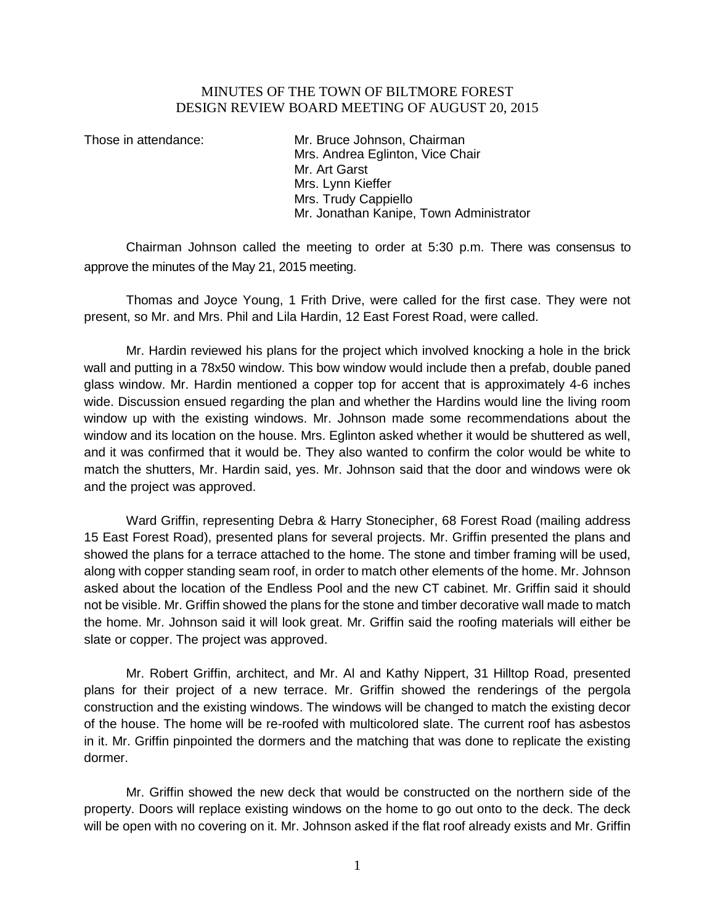## MINUTES OF THE TOWN OF BILTMORE FOREST DESIGN REVIEW BOARD MEETING OF AUGUST 20, 2015

Those in attendance: Mr. Bruce Johnson, Chairman Mrs. Andrea Eglinton, Vice Chair Mr. Art Garst Mrs. Lynn Kieffer Mrs. Trudy Cappiello Mr. Jonathan Kanipe, Town Administrator

Chairman Johnson called the meeting to order at 5:30 p.m. There was consensus to approve the minutes of the May 21, 2015 meeting.

Thomas and Joyce Young, 1 Frith Drive, were called for the first case. They were not present, so Mr. and Mrs. Phil and Lila Hardin, 12 East Forest Road, were called.

Mr. Hardin reviewed his plans for the project which involved knocking a hole in the brick wall and putting in a 78x50 window. This bow window would include then a prefab, double paned glass window. Mr. Hardin mentioned a copper top for accent that is approximately 4-6 inches wide. Discussion ensued regarding the plan and whether the Hardins would line the living room window up with the existing windows. Mr. Johnson made some recommendations about the window and its location on the house. Mrs. Eglinton asked whether it would be shuttered as well, and it was confirmed that it would be. They also wanted to confirm the color would be white to match the shutters, Mr. Hardin said, yes. Mr. Johnson said that the door and windows were ok and the project was approved.

Ward Griffin, representing Debra & Harry Stonecipher, 68 Forest Road (mailing address 15 East Forest Road), presented plans for several projects. Mr. Griffin presented the plans and showed the plans for a terrace attached to the home. The stone and timber framing will be used, along with copper standing seam roof, in order to match other elements of the home. Mr. Johnson asked about the location of the Endless Pool and the new CT cabinet. Mr. Griffin said it should not be visible. Mr. Griffin showed the plans for the stone and timber decorative wall made to match the home. Mr. Johnson said it will look great. Mr. Griffin said the roofing materials will either be slate or copper. The project was approved.

Mr. Robert Griffin, architect, and Mr. Al and Kathy Nippert, 31 Hilltop Road, presented plans for their project of a new terrace. Mr. Griffin showed the renderings of the pergola construction and the existing windows. The windows will be changed to match the existing decor of the house. The home will be re-roofed with multicolored slate. The current roof has asbestos in it. Mr. Griffin pinpointed the dormers and the matching that was done to replicate the existing dormer.

Mr. Griffin showed the new deck that would be constructed on the northern side of the property. Doors will replace existing windows on the home to go out onto to the deck. The deck will be open with no covering on it. Mr. Johnson asked if the flat roof already exists and Mr. Griffin